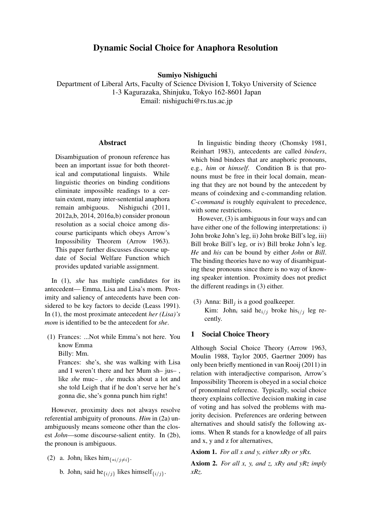# Dynamic Social Choice for Anaphora Resolution

Sumiyo Nishiguchi

Department of Liberal Arts, Faculty of Science Division I, Tokyo University of Science 1-3 Kagurazaka, Shinjuku, Tokyo 162-8601 Japan Email: nishiguchi@rs.tus.ac.jp

#### Abstract

Disambiguation of pronoun reference has been an important issue for both theoretical and computational linguists. While linguistic theories on binding conditions eliminate impossible readings to a certain extent, many inter-sentential anaphora remain ambiguous. Nishiguchi (2011, 2012a,b, 2014, 2016a,b) consider pronoun resolution as a social choice among discourse participants which obeys Arrow's Impossibility Theorem (Arrow 1963). This paper further discusses discourse update of Social Welfare Function which provides updated variable assignment.

In (1), *she* has multiple candidates for its antecedent— Emma, Lisa and Lisa's mom. Proximity and saliency of antecedents have been considered to be key factors to decide (Leass 1991). In (1), the most proximate antecedent *her (Lisa)'s mom* is identified to be the antecedent for *she*.

(1) Frances: ...Not while Emma's not here. You know Emma Billy: Mm.

Frances: she's, she was walking with Lisa

and I weren't there and her Mum sh– jus– , like *she* muc– , *she* mucks about a lot and she told Leigh that if he don't serve her he's gonna die, she's gonna punch him right!

However, proximity does not always resolve referential ambiguity of pronouns. *Him* in (2a) unambiguously means someone other than the closest *John*—some discourse-salient entity. In (2b), the pronoun is ambiguous.

- (2) a. John<sub>i</sub> likes him<sub>{\*i/j≠i}</sub>.
	- b. John<sub>i</sub> said he $\{i/j\}$  likes himself $\{i/j\}$ .

In linguistic binding theory (Chomsky 1981, Reinhart 1983), antecedents are called *binders*, which bind bindees that are anaphoric pronouns, e.g., *him* or *himself*. Condition B is that pronouns must be free in their local domain, meaning that they are not bound by the antecedent by means of coindexing and c-commanding relation. *C-command* is roughly equivalent to precedence, with some restrictions.

However, (3) is ambiguous in four ways and can have either one of the following interpretations: i) John broke John's leg, ii) John broke Bill's leg, iii) Bill broke Bill's leg, or iv) Bill broke John's leg. *He* and *his* can be bound by either *John* or *Bill*. The binding theories have no way of disambiguating these pronouns since there is no way of knowing speaker intention. Proximity does not predict the different readings in (3) either.

(3) Anna: Bill<sub>j</sub> is a good goalkeeper. Kim: John<sub>i</sub> said he<sub>i/j</sub> broke his<sub>i/j</sub> leg recently.

### 1 Social Choice Theory

Although Social Choice Theory (Arrow 1963, Moulin 1988, Taylor 2005, Gaertner 2009) has only been briefly mentioned in van Rooij (2011) in relation with interadjective comparison, Arrow's Impossibility Theorem is obeyed in a social choice of pronominal reference. Typically, social choice theory explains collective decision making in case of voting and has solved the problems with majority decision. Preferences are ordering between alternatives and should satisfy the following axioms. When R stands for a knowledge of all pairs and x, y and z for alternatives,

Axiom 1. *For all x and y, either xRy or yRx.*

Axiom 2. *For all x, y, and z, xRy and yRz imply xRz.*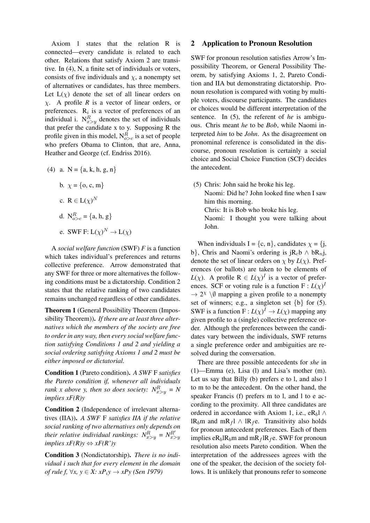Axiom 1 states that the relation R is connected—every candidate is related to each other. Relations that satisfy Axiom 2 are transitive. In (4), N, a finite set of individuals or voters, consists of five individuals and  $\chi$ , a nonempty set of alternatives or candidates, has three members. Let  $L(\chi)$  denote the set of all linear orders on χ. A profile *R* is a vector of linear orders, or preferences.  $R_i$  is a vector of preferences of an individual i.  $N_{x>y}^{R}$  denotes the set of individuals that prefer the candidate x to y. Supposing R the profile given in this model,  $N_{o>c}^R$  is a set of people who prefers Obama to Clinton, that are, Anna, Heather and George (cf. Endriss 2016).

- (4) a.  $N = \{a, k, h, g, n\}$ b.  $\chi = \{o, c, m\}$ c.  $R \in L(\chi)^N$ 
	- d.  $N_{o>c}^R = \{a, h, g\}$
	- e. SWF F:  $L(\chi)^N \to L(\chi)$

A *social welfare function* (SWF) *F* is a function which takes individual's preferences and returns collective preference. Arrow demonstrated that any SWF for three or more alternatives the following conditions must be a dictatorship. Condition 2 states that the relative ranking of two candidates remains unchanged regardless of other candidates.

Theorem 1 (General Possibility Theorem (Impossibility Theorem)). *If there are at least three alternatives which the members of the society are free to order in any way, then every social welfare function satisfying Conditions 1 and 2 and yielding a social ordering satisfying Axioms 1 and 2 must be either imposed or dictatorial.*

Condition 1 (Pareto condition). *A SWF* F *satisfies the Pareto condition if, whenever all individuals rank x above y, then so does society:*  $N_{x>y}^R = N$ *implies xF(R)y*

Condition 2 (Independence of irrelevant alternatives (IIA)). *A SWF* F *satisfies IIA if the relative social ranking of two alternatives only depends on their relative individual rankings:*  $N_{x>y}^R = N_{x>y}^{R'}$ *implies*  $xF(R)y$   $\Leftrightarrow$   $xF(R')y$ 

Condition 3 (Nondictatorship). *There is no individual i such that for every element in the domain of rule f,* ∀*x, y* ∈ *X: xP*i*y* → *xPy (Sen 1979)*

### 2 Application to Pronoun Resolution

SWF for pronoun resolution satisfies Arrow's Impossibility Theorem, or General Possibility Theorem, by satisfying Axioms 1, 2, Pareto Condition and IIA but demonstrating dictatorship. Pronoun resolution is compared with voting by multiple voters, discourse participants. The candidates or choices would be different interpretation of the sentence. In (5), the referent of *he* is ambiguous. Chris meant *he* to be *Bob*, while Naomi interpreted *him* to be *John*. As the disagreement on pronominal reference is consolidated in the discourse, pronoun resolution is certainly a social choice and Social Choice Function (SCF) decides the antecedent.

(5) Chris: John said he broke his leg. Naomi: Did he? John looked fine when I saw him this morning. Chris: It is Bob who broke his leg. Naomi: I thought you were talking about John.

When individuals I = {c, n}, candidates  $\chi$  = {j, b}, Chris and Naomi's ordering is jR<sub>c</sub>b  $\wedge$  bR<sub>n</sub>j, denote the set of linear orders on  $\chi$  by  $L(\chi)$ . Preferences (or ballots) are taken to be elements of *L*( $\chi$ ). A profile  $R \in L(\chi)^I$  is a vector of preferences. SCF or voting rule is a function  $F: L(\chi)^{D}$  $\rightarrow$  2<sup> $\chi$ </sup> \ $\emptyset$  mapping a given profile to a nonempty set of winners; e.g., a singleton set  $\{b\}$  for (5). SWF is a function  $F: L(\chi)^I \to L(\chi)$  mapping any given profile to a (single) collective preference order. Although the preferences between the candidates vary between the individuals, SWF returns a single preference order and ambiguities are resolved during the conversation.

There are three possible antecedents for *she* in (1)—Emma (e), Lisa (l) and Lisa's mother (m). Let us say that Billy (b) prefers e to l, and also l to m to be the antecedent. On the other hand, the speaker Francis (f) prefers m to l, and l to e according to the proximity. All three candidates are ordered in accordance with Axiom 1, i.e., eR<sub>b</sub>l ∧ lR<sub>b</sub>m and mR<sub>f</sub>l ∧ lR<sub>f</sub>e. Transitivity also holds for pronoun antecedent preferences. Each of them implies  $eR_b$  l $R_b$ m and m $R_f$  l $R_f$  e. SWF for pronoun resolution also meets Pareto condition. When the interpretation of the addressees agrees with the one of the speaker, the decision of the society follows. It is unlikely that pronouns refer to someone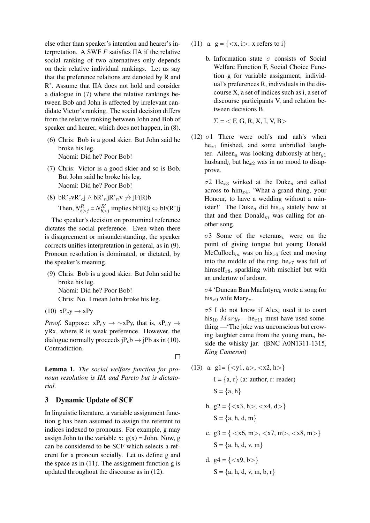else other than speaker's intention and hearer's interpretation. A SWF *F* satisfies IIA if the relative social ranking of two alternatives only depends on their relative individual rankings. Let us say that the preference relations are denoted by R and R'. Assume that IIA does not hold and consider a dialogue in (7) where the relative rankings between Bob and John is affected by irrelevant candidate Victor's ranking. The social decision differs from the relative ranking between John and Bob of speaker and hearer, which does not happen, in (8).

- (6) Chris: Bob is a good skier. But John said he broke his leg. Naomi: Did he? Poor Bob!
- (7) Chris: Victor is a good skier and so is Bob. But John said he broke his leg. Naomi: Did he? Poor Bob!
- (8) bR'<sub>c</sub>vR'<sub>c</sub>j ∧ bR'<sub>n</sub>jR'<sub>n</sub>v  $\rightarrow$  jF(R)b Then,  $N_{b>j}^R = N_{b>j}^{R'}$  implies bF(R)j  $\Leftrightarrow$  bF(R')j

The speaker's decision on pronominal reference dictates the social preference. Even when there is disagreement or misunderstanding, the speaker corrects unifies interpretation in general, as in (9). Pronoun resolution is dominated, or dictated, by the speaker's meaning.

- (9) Chris: Bob is a good skier. But John said he broke his leg. Naomi: Did he? Poor Bob! Chris: No. I mean John broke his leg.
- $(10)$   $xP_cy \rightarrow xPy$

*Proof.* Suppose:  $xP_cy \rightarrow \sim xPy$ , that is,  $xP_cy \rightarrow$ yRx, where R is weak preference. However, the dialogue normally proceeds  $iP<sub>c</sub>b \rightarrow iPb$  as in (10). Contradiction.

 $\Box$ 

Lemma 1. *The social welfare function for pronoun resolution is IIA and Pareto but is dictatorial.*

## 3 Dynamic Update of SCF

In linguistic literature, a variable assignment function g has been assumed to assign the referent to indices indexed to pronouns. For example, g may assign John to the variable x:  $g(x) =$  John. Now, g can be considered to be SCF which selects a referent for a pronoun socially. Let us define g and the space as in (11). The assignment function g is updated throughout the discourse as in (12).

- (11) a.  $g = \{ \langle x, i \rangle : x \text{ refers to } i \}$ 
	- b. Information state  $\sigma$  consists of Social Welfare Function F, Social Choice Function g for variable assignment, individual's preferences R, individuals in the discourse X, a set of indices such as i, a set of discourse participants V, and relation between decisions B.

 $\Sigma = \langle F, G, R, X, I, V, B \rangle$ 

(12)  $\sigma$ 1 There were ooh's and aah's when  $he_{x1}$  finished, and some unbridled laughter. Aileen<sub>a</sub> was looking dubiously at her<sub> $u$ 1</sub> husband<sub>h</sub> but he<sub>x2</sub> was in no mood to disapprove.

 $\sigma$ 2 He<sub>x3</sub> winked at the Duke<sub>d</sub> and called across to him $_{x4}$ , 'What a grand thing, your Honour, to have a wedding without a minister!' The Duke<sub>d</sub> did his<sub>x5</sub> stately bow at that and then  $Donald_m$  was calling for another song.

 $\sigma$ 3 Some of the veterans<sub>v</sub> were on the point of giving tongue but young Donald McCulloch<sub>m</sub> was on his<sub>x6</sub> feet and moving into the middle of the ring, he $x_7$  was full of himself<sub>x8</sub>, sparkling with mischief but with an undertow of ardour.

 $\sigma$ 4 'Duncan Ban MacIntyre<sub>b</sub> wrote a song for his<sub>x9</sub> wife Mary<sub>r</sub>.

 $\sigma$ 5 I do not know if Alex<sub>l</sub> used it to court his<sub>10</sub>  $Mary<sub>r</sub> - he<sub>r11</sub>$  must have used something —'The joke was unconscious but crowing laughter came from the young men<sub>n</sub> beside the whisky jar. (BNC A0N1311-1315, *King Cameron*)

(13) a. g1= $\{ \langle y1, a \rangle, \langle x2, h \rangle \}$  $I = \{a, r\}$  (a: author, r: reader)

 $S = \{a, h\}$ 

b. 
$$
g2 = \{ \langle x3, h \rangle, \langle x4, d \rangle \}
$$
  
S = {a, h, d, m}

c. 
$$
g3 = \{ \langle x6, m \rangle, \langle x7, m \rangle, \langle x8, m \rangle \}
$$
  
S = {a, h, d, v, m}

d. 
$$
g4 = \{ \langle x9, b \rangle \}
$$
  
S = \{a, h, d, v, m, b, r\}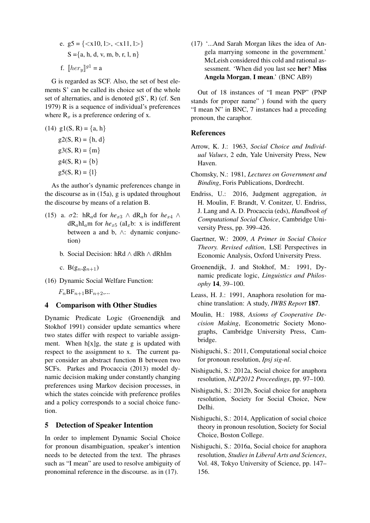e. 
$$
g5 = \{ \langle x10, 1 \rangle, \langle x11, 1 \rangle \}
$$
  
\n $S = \{a, h, d, v, m, b, r, l, n\}$   
\nf.  $[her_y]^{g1} = a$ 

G is regarded as SCF. Also, the set of best elements S' can be called its choice set of the whole set of alternaties, and is denoted  $g(S', R)$  (cf. Sen 1979) R is a sequence of individual's preferences where  $\mathbf{R}_x$  is a preference ordering of x.

(14) 
$$
g1(S, R) = \{a, h\}
$$
  
\n $g2(S, R) = \{h, d\}$   
\n $g3(S, R) = \{m\}$   
\n $g4(S, R) = \{b\}$   
\n $g5(S, R) = \{1\}$ 

As the author's dynamic preferences change in the discourse as in (15a), g is updated throughout the discourse by means of a relation B.

- (15) a.  $\sigma$ 2: hR<sub>a</sub>d for *he*<sub>x3</sub> ∧ dR<sub>a</sub>h for *he*<sub>x4</sub> ∧  $dR_a hI_a$ m for  $he_{x5}$  (aI<sub>x</sub>b: x is indifferent between a and b, ∧: dynamic conjunction)
	- b. Social Decision: hRd ∧ dRh ∧ dRhIm
	- c.  $B(g_n, g_{n+1})$
- (16) Dynamic Social Welfare Function:

 $F_nBF_{n+1}BF_{n+2}...$ 

## 4 Comparison with Other Studies

Dynamic Predicate Logic (Groenendijk and Stokhof 1991) consider update semantics where two states differ with respect to variable assignment. When  $h[x]g$ , the state g is updated with respect to the assignment to x. The current paper consider an abstract function B between two SCFs. Parkes and Procaccia (2013) model dynamic decision making under constantly changing preferences using Markov decision processes, in which the states coincide with preference profiles and a policy corresponds to a social choice function.

## 5 Detection of Speaker Intention

In order to implement Dynamic Social Choice for pronoun disambiguation, speaker's intention needs to be detected from the text. The phrases such as "I mean" are used to resolve ambiguity of pronominal reference in the discourse. as in (17).

(17) '...And Sarah Morgan likes the idea of Angela marrying someone in the government.' McLeish considered this cold and rational assessment. 'When did you last see her? Miss Angela Morgan, I mean.' (BNC AB9)

Out of 18 instances of "I mean PNP" (PNP stands for proper name" ) found with the query "I mean N" in BNC, 7 instances had a preceding pronoun, the caraphor.

## References

- Arrow, K. J.: 1963, *Social Choice and Individual Values*, 2 edn, Yale University Press, New Haven.
- Chomsky, N.: 1981, *Lectures on Government and Binding*, Foris Publications, Dordrecht.
- Endriss, U.: 2016, Judgment aggregation, *in* H. Moulin, F. Brandt, V. Conitzer, U. Endriss, J. Lang and A. D. Procaccia (eds), *Handbook of Computational Social Choice*, Cambridge University Press, pp. 399–426.
- Gaertner, W.: 2009, *A Primer in Social Choice Theory. Revised edition*, LSE Perspectives in Economic Analysis, Oxford University Press.
- Groenendijk, J. and Stokhof, M.: 1991, Dynamic predicate logic, *Linguistics and Philosophy* 14, 39–100.
- Leass, H. J.: 1991, Anaphora resolution for machine translation: A study, *IWBS Report* 187.
- Moulin, H.: 1988, *Axioms of Cooperative Decision Making*, Econometric Society Monographs, Cambridge University Press, Cambridge.
- Nishiguchi, S.: 2011, Computational social choice for pronoun resolution, *Ipsj sig-nl*.
- Nishiguchi, S.: 2012a, Social choice for anaphora resolution, *NLP2012 Proceedings*, pp. 97–100.
- Nishiguchi, S.: 2012b, Social choice for anaphora resolution, Society for Social Choice, New Delhi.
- Nishiguchi, S.: 2014, Application of social choice theory in pronoun resolution, Society for Social Choice, Boston College.
- Nishiguchi, S.: 2016a, Social choice for anaphora resolution, *Studies in Liberal Arts and Sciences*, Vol. 48, Tokyo University of Science, pp. 147– 156.